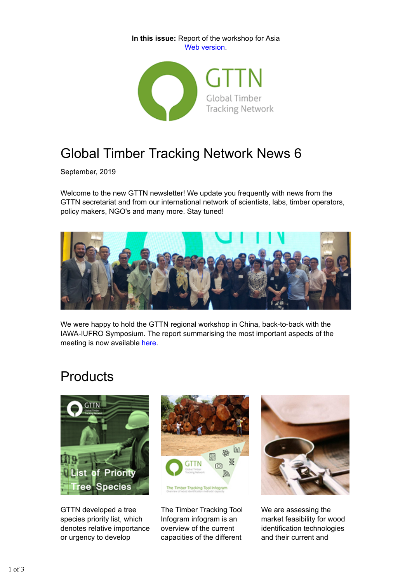**In this issue:** Report of the workshop for Asia Web version.



## Global Timber Tracking Network News 6

September, 2019

Welcome to the new GTTN newsletter! We update you frequently with news from the GTTN secretariat and from our international network of scientists, labs, timber operators, policy makers, NGO's and many more. Stay tuned!



We were happy to hold the GTTN regional workshop in China, back-to-back with the IAWA-IUFRO Symposium. The report summarising the most important aspects of the meeting is now available here.

# Products



GTTN developed a tree species priority list, which denotes relative importance or urgency to develop



The Timber Tracking Tool Infogram infogram is an overview of the current capacities of the different



We are assessing the market feasibility for wood identification technologies and their current and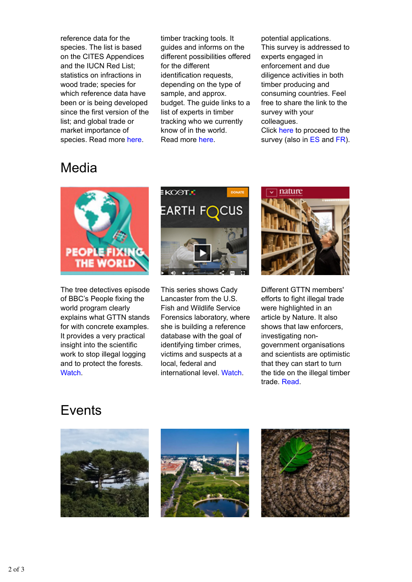reference data for the species. The list is based on the CITES Appendices and the IUCN Red List; statistics on infractions in wood trade; species for which reference data have been or is being developed since the first version of the list; and global trade or market importance of species. Read more here.

timber tracking tools. It guides and informs on the different possibilities offered for the different identification requests, depending on the type of sample, and approx. budget. The guide links to a list of experts in timber tracking who we currently know of in the world. Read more here.

potential applications. This survey is addressed to experts engaged in enforcement and due diligence activities in both timber producing and consuming countries. Feel free to share the link to the survey with your colleagues.

Click here to proceed to the survey (also in ES and FR).

### Media



The tree detectives episode of BBC's People fixing the world program clearly explains what GTTN stands for with concrete examples. It provides a very practical insight into the scientific work to stop illegal logging and to protect the forests. Watch.



This series shows Cady Lancaster from the U.S. Fish and Wildlife Service Forensics laboratory, where she is building a reference database with the goal of identifying timber crimes, victims and suspects at a local, federal and international level. Watch.



Different GTTN members' efforts to fight illegal trade were highlighted in an article by Nature. It also shows that law enforcers, investigating nongovernment organisations and scientists are optimistic that they can start to turn the tide on the illegal timber trade. Read.

#### **Events**